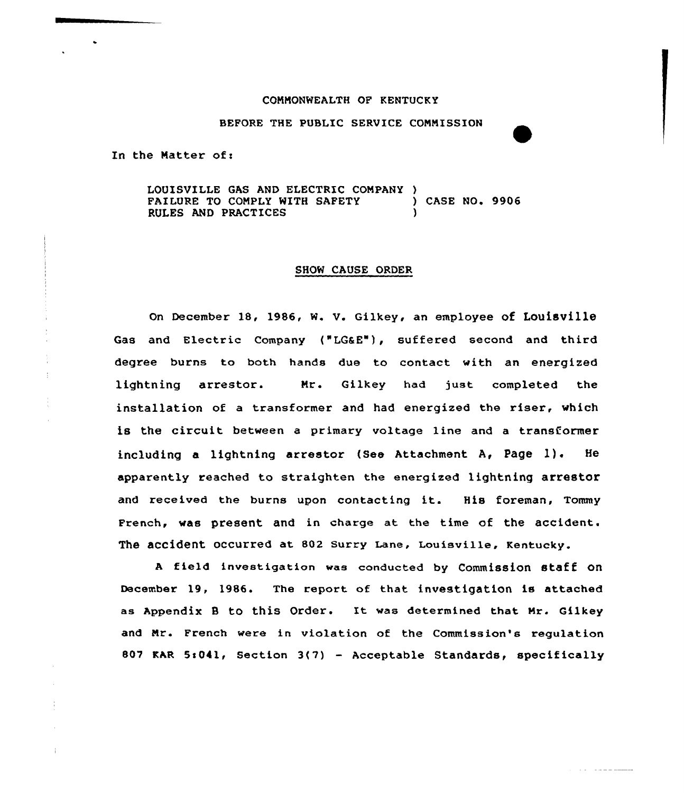### COMMONWEALTH OF KENTUCKY

BEFORE THE PUBLIC SERVICE COMMISSION

In the Matter of:

LOUISVILLE GAS AND ELECTRIC COMPANY )<br>FAILURE TO COMPLY WITH SAFETY (25E NO. 9906 FAILURE TO COMPLY WITH SAFETY (a) RULES AND PRACTICES

### SHOW CAUSE ORDER

on December 18, 1986, w. v. Gilkey, an employee of Louisville Gas and Electric Company ("LG&E"), suffered second and third degree burns to both hands due to contact with an energized lightning arrestor. Nr. Gilkey had just completed the installation of <sup>a</sup> transformer and had energized the riser, which is the circuit between a primary voltage line and a transformer including <sup>a</sup> lightning arrestor (See Attachment A, Page 1). He apparently reached to straighten the energized lightning arrestor and received the burns upon contacting it. His foreman, Tommy French, was present and in charge at the time of the accident. The accident occurred at 802 surry Lane, Louisville, Kentucky.

A field investigation was conducted by Commission staff on December 19, 1986. The report of that investigation is attached as Appendix B to this Order. It was determined that Mr. Gilkey and Mr. French were in violation of the Commission's regulation 807 KAR 5:041, Section  $3(7)$  - Acceptable Standards, specifically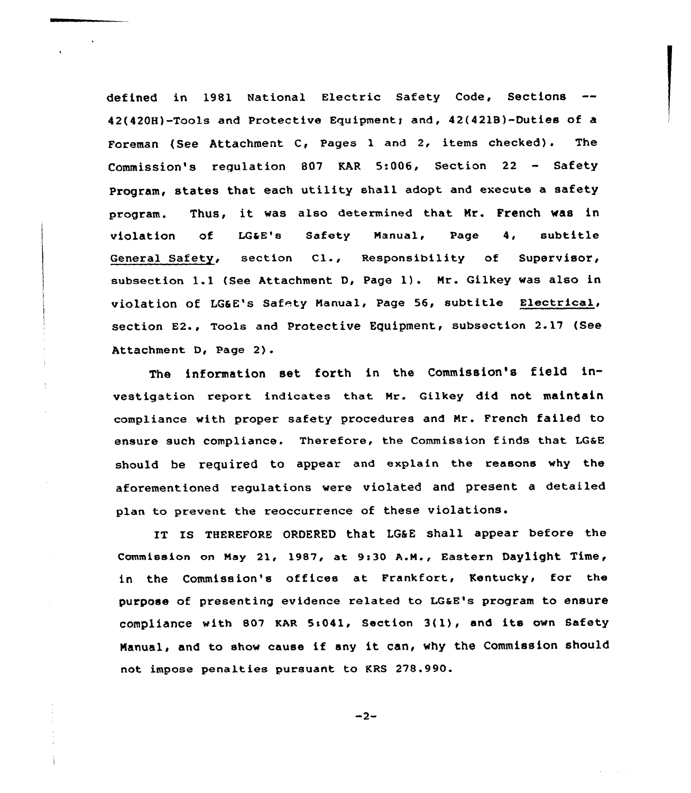defined in 1981 National Electric Safety Code, Sections 42(420H)-Tools and Protective Equipment; and, 42(421B)-Duties of a Foreman (See Attachment C, Pages 1 and 2, items checked). The Commission's regulation 807 KAR 5:006, Section 22 — Safety Program, states that each utility shall adopt and execute a safety program. Thus, it was also determined that Mr. French was in violation of LG&E's Safety Manual, Page 4, subtitl General Safety, section Cl., Responsibility of Supervisor, subsection 1.1 (See Attachment D, Page 1). Nr. Gilkey was also in violation of LG&E's safety Nanual, Page 56, subtitle Electrical, section E2., Tools and Protective Equipment, subsection 2.17 (See Attachment D, Page 2).

The information set forth in the Commission's field investigation repoxt indicates that Mr. Gilkey did not maintain compliance with proper safety procedures and Nx. French failed to ensure such compliance. Therefore, the Commission finds that LG&E should be required to appear and explain the reasons why the aforementioned regulations were violated and present a detailed plan to prevent the reoccurrence of these violations.

IT IS THEREFORE ORDERED that LG&E Shall appear before the Commission on May 21, 1987, at 9:30 A.M., Eastern Daylight Time, in the Commission's offices at Frankfoxt, Kentucky, for the purpose of presenting evidence related to LG&E's program to ensure compliance with 807 KAR 5:041, Section 3(1), and its own Safety Manual, and to show cause if any it can, why the Commission should not impose penalties pursuant to KRS 278.990.

 $-2-$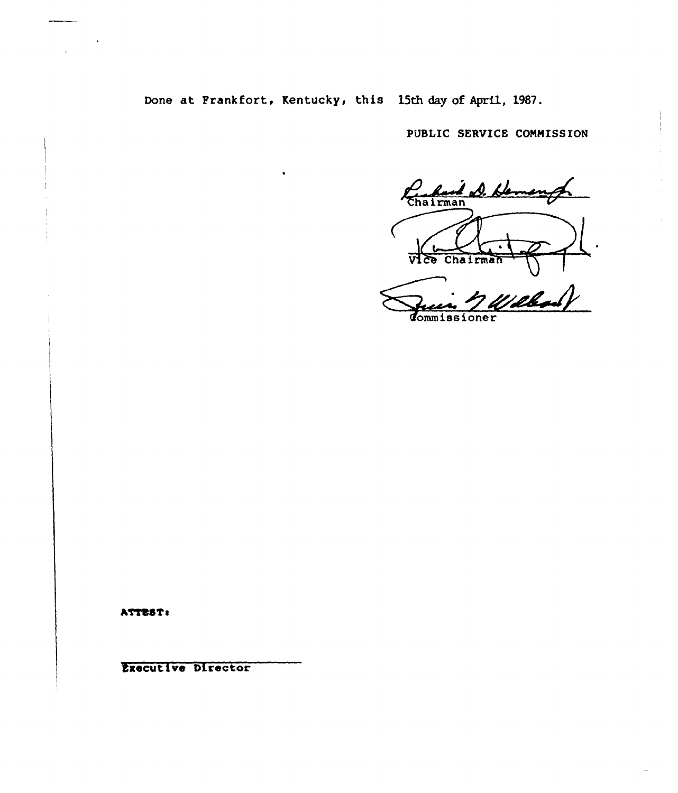Done at Frankfort, Kentucky, this 15th day of April, 1987.

PUBLIC SERVICE COMMISSION

Chairman S. Hamony लङ्क Chairman

n<br>Milband dommissioner

ATTEST:

Executive Director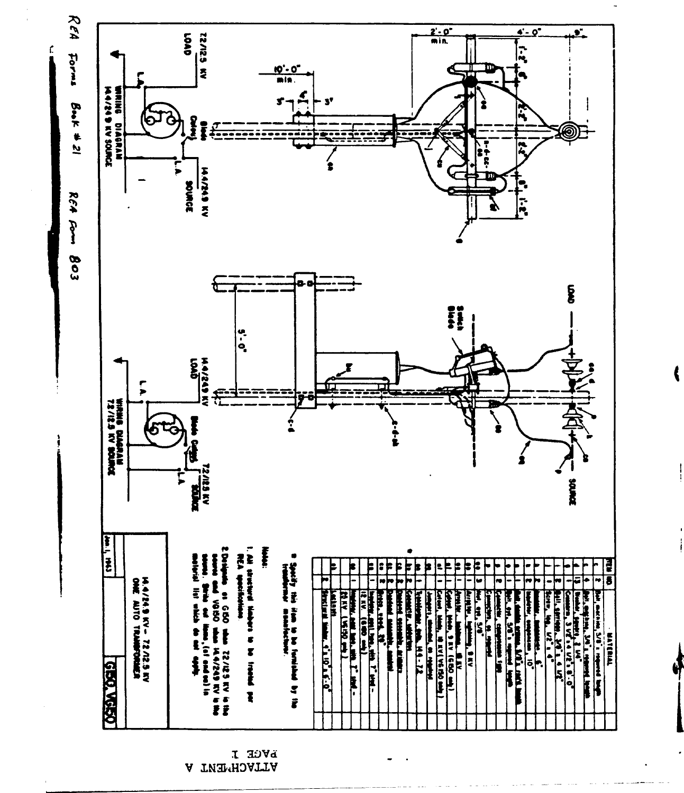

l

**L HOVA** A TWEMHOATTA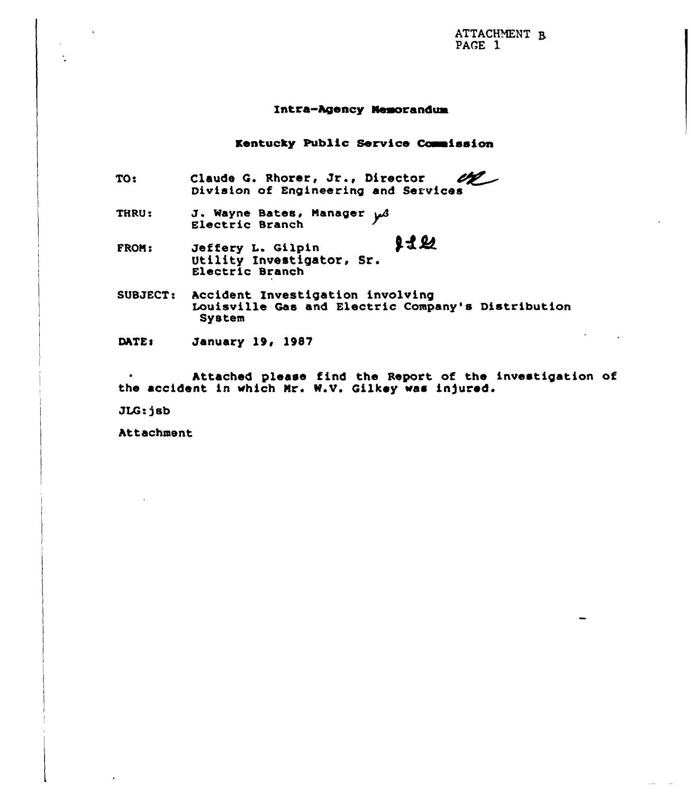ATTACHMENT R PAGE 1

#### Intra-Agency Nemorandum

Kentucky Public Service Commission

- TO: Claude G. Rhorer, Jr., Director Claude G. Rhorer, Jr., Director 22
- THRU: J. Wayne Bates, Manager poly
- 出业 FRON! Jeffery L. Qilpin Utility Investigator, Sr. Electric Branch
- SUBJECT: Accident Investigation involving Louisville Gas and Electric Company's Distribution System
- DATE: January 19, 1987

Attached please find the Report of the investigation of the accident in which Mr. W.V. Gilkey was injured.

JLG:jsb

Attachment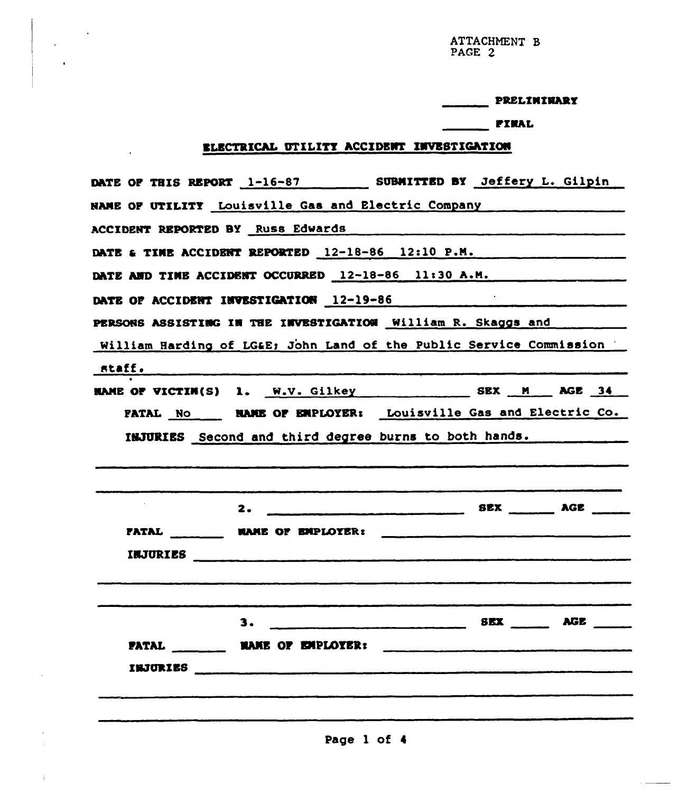ATTACHMENT B<br>PAGE 2

| PRELIMINARY |  |
|-------------|--|
|-------------|--|

## **FINAL**

# **ELECTRICAL UTILITY ACCIDENT INVESTIGATION**

| DATE OF THIS REPORT 1-16-87 SUBMITTED BY Jeffery L. Gilpin                                                     |  |  |
|----------------------------------------------------------------------------------------------------------------|--|--|
| NAME OF UTILITY Louisville Gas and Electric Company [19]                                                       |  |  |
| ACCIDENT REPORTED BY Russ Edwards Manuel Accident Reported by Russ Edwards                                     |  |  |
| DATE & TIME ACCIDENT REPORTED 12-18-86 12:10 P.M.                                                              |  |  |
| DATE AND TIME ACCIDENT OCCURRED 12-18-86 11:30 A.M.                                                            |  |  |
| DATE OF ACCIDENT INVESTIGATION 12-19-86                                                                        |  |  |
| PERSONS ASSISTING IN THE INVESTIGATION William R. Skaggs and Museum                                            |  |  |
| William Harding of LG&E John Land of the Public Service Commission                                             |  |  |
|                                                                                                                |  |  |
| HAME OF VICTIM(S) 1. W.V. Gilkey SEX M AGE 34                                                                  |  |  |
| PATAL No _____ NAME OF EMPLOYER: Louisville Gas and Electric Co.                                               |  |  |
|                                                                                                                |  |  |
| INJURIES Second and third degree burns to both hands.                                                          |  |  |
|                                                                                                                |  |  |
|                                                                                                                |  |  |
|                                                                                                                |  |  |
| FATAL MARE OF EMPLOYER:                                                                                        |  |  |
|                                                                                                                |  |  |
|                                                                                                                |  |  |
|                                                                                                                |  |  |
|                                                                                                                |  |  |
| PATAL MAME OF EMPLOYER:                                                                                        |  |  |
|                                                                                                                |  |  |
| INJURIES And All Andrews And All Andrews And All Andrews And All Andrews And All Andrews And All And All And A |  |  |
|                                                                                                                |  |  |
|                                                                                                                |  |  |

Page 1 of 4

 $\mathcal{A}^{\pm}$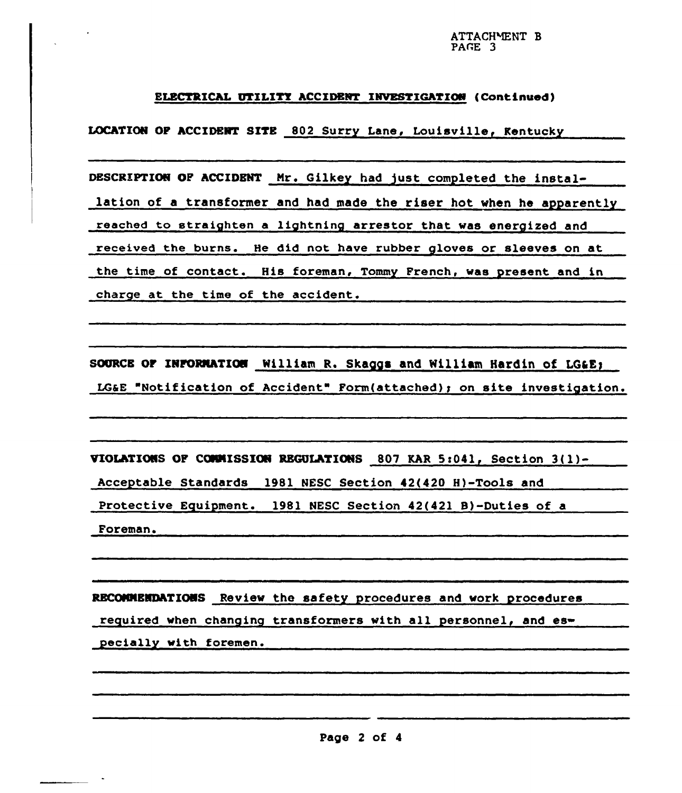### ELECTRICAL UTILITY ACCIDENT INVESTIGATION (Continued)

LOCATION OP ACCIDENT SITS 802 Surry Lane, Louisville< Kentucky

DESCRIPTION OF ACCIDENT Mr. Gilkey had just completed the installation of a transformer and had made the riser hot when he apparently reached to straighten a lightning arrestor that was energized and received the burns. He did not have rubber gloves or sleeves on at the time of contact. His foreman, Tommy French, was present and in charge at the time of the accident.

SOURCE OF INFORMATION William R. Skaggs and William Hardin of LG&E; LG&E "Notification of Accident" Form(attached); on site investigation.

VIOLATIONS OF COMMISSION REGULATIONS 807 KAR 5:041, Section 3(1)-

Acceptable Standards 1981 NESC Section 42(420 H)-Tools and

Protective Equipment. 1981 NESC Section 42(421 B)-Duties of a

Foreman.

RBCONNBNQhTIONS Review the safety procedures and work procedures

required when changing transformers with all personnel, and es

pecially with foremen.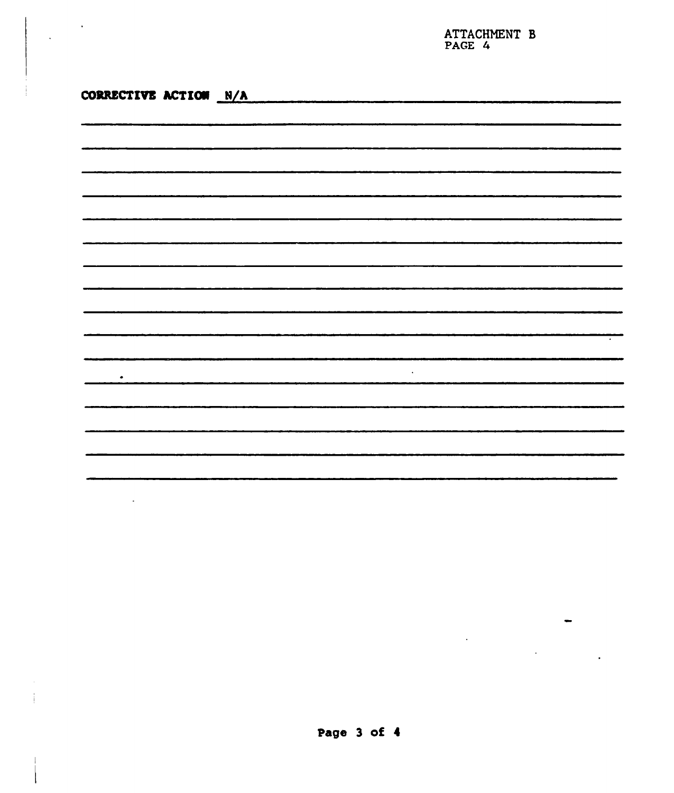ATTACHNENT B PAGE 4

| CORRECTIVE ACTION N/A |                                                                                                                                                                                                                                                                                                                                                                                                                                                                                        |           |
|-----------------------|----------------------------------------------------------------------------------------------------------------------------------------------------------------------------------------------------------------------------------------------------------------------------------------------------------------------------------------------------------------------------------------------------------------------------------------------------------------------------------------|-----------|
|                       |                                                                                                                                                                                                                                                                                                                                                                                                                                                                                        |           |
|                       |                                                                                                                                                                                                                                                                                                                                                                                                                                                                                        |           |
|                       |                                                                                                                                                                                                                                                                                                                                                                                                                                                                                        |           |
|                       |                                                                                                                                                                                                                                                                                                                                                                                                                                                                                        |           |
|                       |                                                                                                                                                                                                                                                                                                                                                                                                                                                                                        |           |
|                       |                                                                                                                                                                                                                                                                                                                                                                                                                                                                                        |           |
|                       |                                                                                                                                                                                                                                                                                                                                                                                                                                                                                        |           |
|                       |                                                                                                                                                                                                                                                                                                                                                                                                                                                                                        |           |
|                       |                                                                                                                                                                                                                                                                                                                                                                                                                                                                                        |           |
|                       |                                                                                                                                                                                                                                                                                                                                                                                                                                                                                        |           |
|                       |                                                                                                                                                                                                                                                                                                                                                                                                                                                                                        |           |
|                       | $\begin{array}{cccccccccccccc} \multicolumn{2}{c}{} & \multicolumn{2}{c}{} & \multicolumn{2}{c}{} & \multicolumn{2}{c}{} & \multicolumn{2}{c}{} & \multicolumn{2}{c}{} & \multicolumn{2}{c}{} & \multicolumn{2}{c}{} & \multicolumn{2}{c}{} & \multicolumn{2}{c}{} & \multicolumn{2}{c}{} & \multicolumn{2}{c}{} & \multicolumn{2}{c}{} & \multicolumn{2}{c}{} & \multicolumn{2}{c}{} & \multicolumn{2}{c}{} & \multicolumn{2}{c}{} & \multicolumn{2}{c}{} & \multicolumn{2}{c}{} & \$ |           |
|                       |                                                                                                                                                                                                                                                                                                                                                                                                                                                                                        |           |
| ٠                     |                                                                                                                                                                                                                                                                                                                                                                                                                                                                                        | $\bullet$ |
|                       |                                                                                                                                                                                                                                                                                                                                                                                                                                                                                        |           |
|                       |                                                                                                                                                                                                                                                                                                                                                                                                                                                                                        |           |
|                       |                                                                                                                                                                                                                                                                                                                                                                                                                                                                                        |           |
|                       |                                                                                                                                                                                                                                                                                                                                                                                                                                                                                        |           |
|                       |                                                                                                                                                                                                                                                                                                                                                                                                                                                                                        |           |

 $\ddot{\phantom{1}}$ 

J.

 $\ddot{\phantom{a}}$ 

J,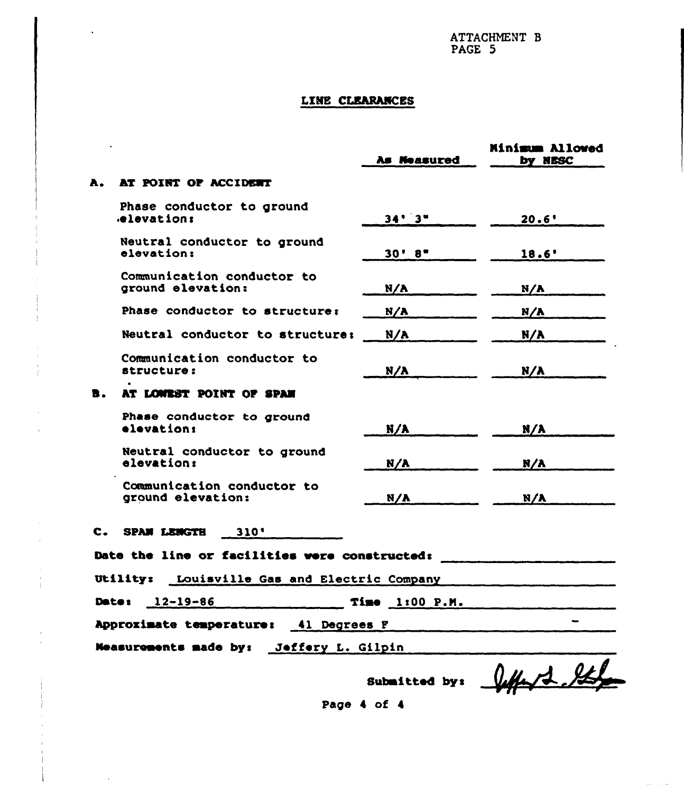ATTACHMENT B<br>PAGE 5

## LINE CLEARANCES

|                                         |                                                 | As Neasured   | Minimum Allowed<br>by NESC |  |  |  |
|-----------------------------------------|-------------------------------------------------|---------------|----------------------------|--|--|--|
| А.                                      | AT POINT OF ACCIDENT                            |               |                            |  |  |  |
|                                         | Phase conductor to ground<br>elevation:         | 34'3''        | 20.6'                      |  |  |  |
|                                         | Neutral conductor to ground<br>elevation:       | 30' 8''       | 18.6'                      |  |  |  |
|                                         | Communication conductor to<br>ground elevation: | N/A           | N/A                        |  |  |  |
|                                         | Phase conductor to structure:                   | N/A           | N/A                        |  |  |  |
|                                         | Neutral conductor to structure:                 | N/A           | N/A                        |  |  |  |
|                                         | Communication conductor to<br>structure:        | N/A           | N/A                        |  |  |  |
| B.                                      | AT LOWEST POINT OF SPAN                         |               |                            |  |  |  |
|                                         | Phase conductor to ground<br>elevation:         | N/A           | N/A                        |  |  |  |
|                                         | Neutral conductor to ground<br>elevation:       | N/A           | N/A                        |  |  |  |
|                                         | Communication conductor to<br>ground elevation: | N/A           | N/A                        |  |  |  |
| $\mathbf{c}$ . $\blacksquare$           | SPAN LENGTH 310'                                |               |                            |  |  |  |
|                                         | Date the line or facilities were constructed:   |               |                            |  |  |  |
|                                         | Utility: Louisville Gas and Electric Company    |               |                            |  |  |  |
|                                         | Date: 12-19-86<br>$Time$ $1:00$ $P.M.$          |               |                            |  |  |  |
|                                         | Approximate temperature: 41 Degrees F           |               |                            |  |  |  |
| Measurements made by: Jeffery L. Gilpin |                                                 |               |                            |  |  |  |
|                                         |                                                 | Submitted by: | letter 2 %                 |  |  |  |

Page 4 of 4

 $\sim$   $\sim$  $\sim$ 

 $\ddot{\phantom{a}}$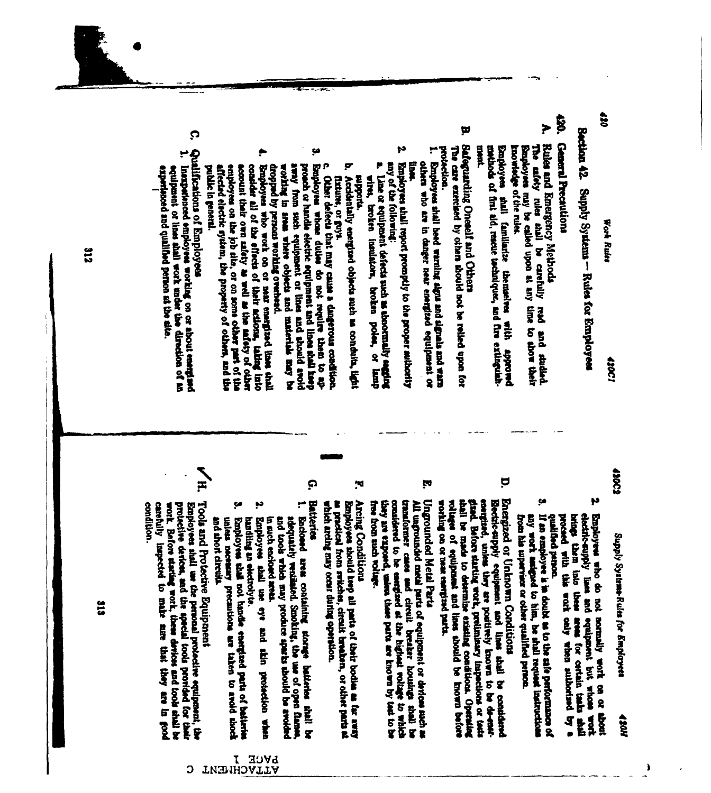Supply Systems - Rules for Employees

 $\ddot{u}$ 

**Section 42** 

\$

General Precautions

Þ

Rules and Emergency Methods

The encey rules shall be carefully

Employees may be called upon at any time to show their

**Bar** 

and studed.

tnowledge of the rules.

**Gan ployees** 

 $\overline{\mathbf{v}}$ 

protection.

ment.

mothods of first ald, rescue tochniques, and fire extinguish-

thall familiarize themselves with approved

p

Ï

any of the following:

Employes shall report promptly to the proper satbority

Line or equipment defects meh as abnormally escribed

broken insulators, broken poles, or

Į

others who are in danger near energized

so justalinho

Employees shall beed warning aigns and signals and warn

Safeguarding Oneself and Others

The care exercised by others should not be relied upon for

13002

**Ason** 

Ì

- N electric-supply lines and equipment but whose world proceed with this work celly when suithorized by a brings them into these Employees who do not normally work on or area for ortain tasks shall **Booth**
- ţ6 any work andped to him, be shall request instructions If an employee is in doubt as to the safe performance of from his supervisor or other qualified person. donal Debileup
- Energized or Unknown Conditions
- Þ witness of equipment and lines should be known before gand. Before starting work, preliminary inspections or tests eperging, unless they are positively known to be de-ensiworking on or near easilyind parts. ahall be made to determine existing conditions. Operating Electric-supply equipment and lines shall g conddend
- ĮN
- considered to be energied at the highest rollings to which transformer cases and circuit breaker hought that he had Ungrounded Metal Parts All ungrounded meta parts of equipment or devices such as free from such voltage. they are exponed, union these parts are known by that to be
- ۱Ħ, Arcing Conditions
- Employees should trep all parts of their bodies as far away<br>as precised from switches, circuit breaken, or other parts at which archng may occur during operation.
- Ģ. Batteries

 $\bullet$ 

Other defects that may cause a dangerous condition Accidentally energized objects such as conduits, light

Ţ

flature, or guys.

mpports.

**Mirth** 

- ۳, Enclosed area containing storage batteries shall be<br>adoptately venissied. Smoking, the use of open flames, and tools which may produce sparks thould be avoided
- ņ Employee shall use eye and skin protection when in such enclosed area.
- ţø unless necessary precautions are taken to avoid shock Employes that not handle energized parts of batteria handling an electrolyte.

PAGE 1<br>PATTACHMENT

Tools and Protective Equipment and short circuits.

Ģ

Qualifications of Employees

public in general.

consider all of the effects of their actions, taking into Employes who work on or near energined lines that

affected electric system, the property of others, and the employees on the job site, or on some other part of the account their own safety as well as the safety of other dropped by persons working overhead.

working in areas where objects and materials may be away from such equipment or lines and about avoid proach or handle electric equipment and lines shall keep Employees whose duties do not require them to ap-

Institutioned employees working on or about energined<br>equipment or lines shall work under the direction of an

experienced and qualified person at the site.

 $\sum_{H}$ carefully inspected to make sure that they are in good condition. work. Before starting work, these devices and tools shall be protective derices, and the special tools provided for their Employees shall use the personal protocilve equipment, the

C

212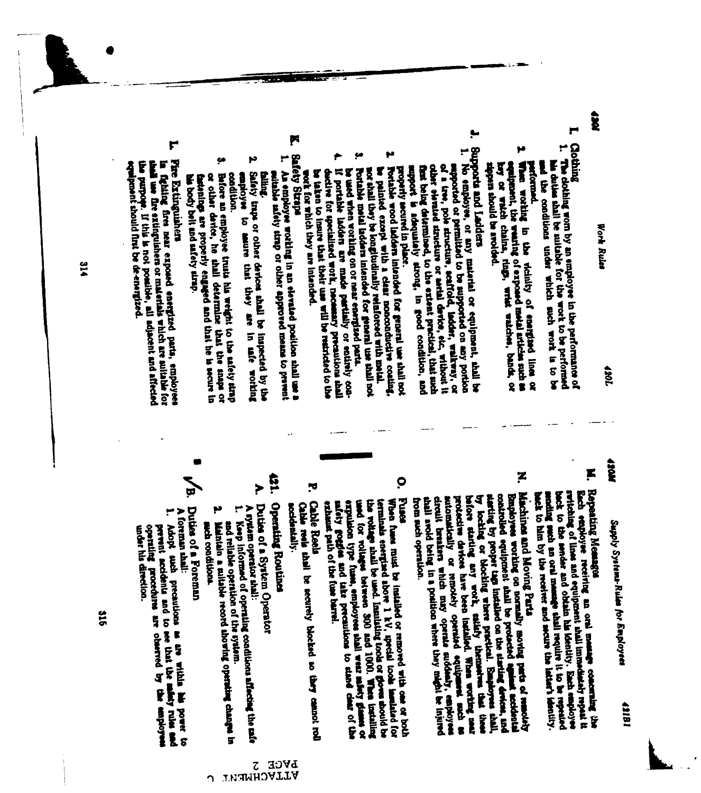Supply Systems-Rules for Employees taith

Work Rules

tas)

F

**Coching** پ

The dothing worn by an employee in the performance of

his duties that be mittable for the work to be performed

1061

HOLD

- ŗ. Repeating Measges switching of lines and equipment anall immediately repeat it back to the sender and obtain his identity. Each employee gach employee receiving an oral message concerning the back to him by the receiver and secure the latter's identity. noding such an oral manage shall require it to be repeated
- z Employees working on normally moving parts of remotedly Machines and Moving Parts starting by proper tags installed on the starting devices, and by locking or blocking where practical. Employees that automatically or remotely operated equipment and the probative devices have been installed. When working mean thall avoid being in a position where they meght be injured circuit breakers which may operate suddenly, employee before staring any work, satisfy themselves that these from sach operation.

ţ.

μ

equipment, the weating of exposed motal articles such as how or watch chains, tings, wrist watches, bands, or sponse should be avoided.

when working in the vicinity of energies lines or and the conditions under which such work is to be

Supports and Ladders

of a tree, pole structure, scaffold, indeer, walkway, or No employee, or any material or equipment, ahall be

other clemind structure or series device, etc. without it supported or permitted to be supported on any portion

support is adequately strong, in good condition, and first being determined, to the extent practical, that such

nor shall they be longitudinally relatiored with metal. Fortable wood ladders intended for general use shall not

be painted except with a clear ropoonductive costing

If portable ladder are made partially or entirely con-

be used when working on or near energined parts. Portable metal ladders intended for general use shall not

be taken to insure that their use will be restricted to the

work for which they are intended.

properly secured in place.

- 0 the wolfage thall be used. Insulsting tools or goves should be the line of the station of the college between 300 and 1000. When installing Russ expulsion type fuses, employees thall wear safety glasses, or safety gotties and take precautions to stare clear of the terminals energined above 1 kV, special tools immisted for When fuses must be installed or removed with one or both exhaust path of the fuse barrel.
- **Cable Rools** Cable reels shall be securely blocked so they cannot roll accidentally.

ŗd.

131 **Operating Routines**  F

۳

p٥

enployer

Safety traps or other devices shall be inspected by the

to same that they are

in the worlding

ç.

Before an employee trusts his weight to the anfely strap

or other device, he shall determine that the snaps or factonings are properly engaged and that he is secure in

**Safety Straps** 

An employee working in an elevated position shall use a

suitable safety strap or other approved means to prevent

- **P** Duties of a System Operator
- A system operator shall:
- Keep informed of operating conditions affected the safe
- and reliable operation of the system. Maintain a suitable record showing operating changes in
- ب asch conditions.
- Duties of a Foreman
- ۳ A foremun shall: Abopt such precautions as are within his power to

F

Fire Extinguishers

his body belt and safety strap.

aball use fire extinguishers or materials which are suitable for the purpope. If this is not possible, all adjacent and affected

fighing first near exposed energized parts, employees

equipment should first be de-energized.

operating procedures are observed by under his direction. prevent accidents and to see that the safety rules and the

 $51<sup>o</sup>$ 

318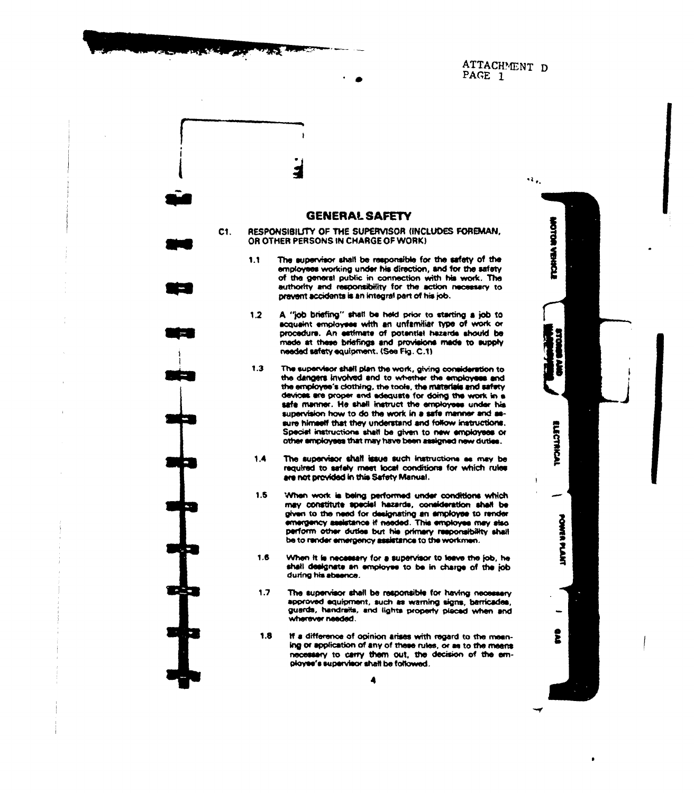ATTACHMENT D PAGE 1

### **GENERAL SAFETY**

 $C1.$ 

RESPONSIBILITY OF THE SUPERVISOR (INCLUDES FOREMAN. OR OTHER PERSONS IN CHARGE OF WORK)

- The supervisor shall be responsible for the safety of the  $1.1$ employees working under his direction, and for the safety of the general public in connection with his work. The authority and responsibility for the action necessary to prevent accidents is an integral part of his job.
- $1.2$ A "job briefing" shall be held prior to starting a job to acquaint employees with an unfamiliar type of work or procedure. An estimate of potential hazarda should be made at these briefings and provisions made to supply needed safety equipment. (See Fig. C.1)
- $1.3$ The supervisor shall plan the work, giving consideration to the dangers involved and to whether the employees and the employee's clothing, the tools, the materials and safety devices are proper and adequate for doing the work in a safe manner. He shall instruct the employees under his supervision how to do the work in a safe manner and assure himself that they understand and follow instructions. Special instructions shall be given to new employees or other amployees that may have been assigned new duties.
- The supervisor shall issue such instructions as may be  $1.4$ required to sefely meet local conditions for which rules are not provided in this Safety Manual.
- $1.5$ When work is being performed under conditions which may constitute special hazards, consideration shall be given to the need for designating an employee to render emergency assistance if needed. This employee may also perform other duties but his primary responsibility shall be to render emergency assistance to the workmen.
- 1.6 When it is necessary for a supervisor to leave the job, he shall designate an employee to be in charge of the job during his absence.
- $1.7$ The supervisor shall be responsible for having necessary approved equipment, such as warning signs, berricades, guards, handraits, and lights properly placed when and wherever needed.
- $1.8$ If a difference of opinion arises with regard to the meaning or application of any of these rules, or as to the meens necessary to carry them out, the decision of the employee's supervisor shall be followed.